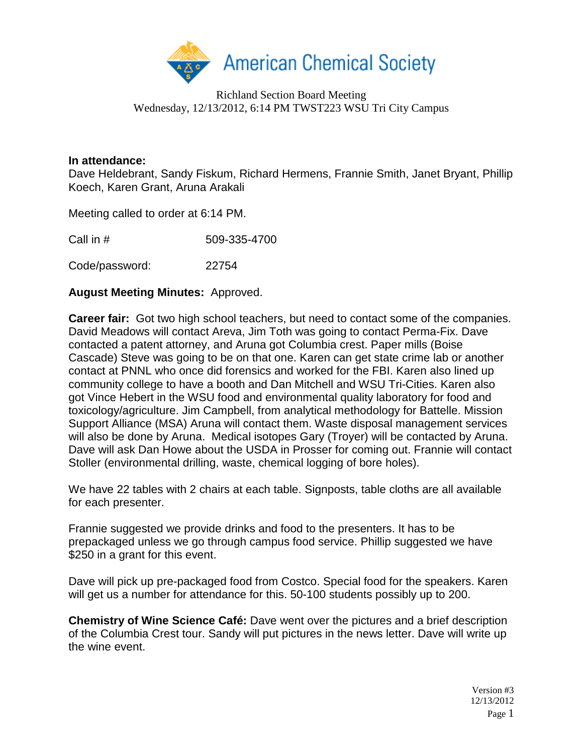

Richland Section Board Meeting Wednesday, 12/13/2012, 6:14 PM TWST223 WSU Tri City Campus

## **In attendance:**

Dave Heldebrant, Sandy Fiskum, Richard Hermens, Frannie Smith, Janet Bryant, Phillip Koech, Karen Grant, Aruna Arakali

Meeting called to order at 6:14 PM.

| Call in # | 509-335-4700 |
|-----------|--------------|
|           |              |

Code/password: 22754

## **August Meeting Minutes:** Approved.

**Career fair:** Got two high school teachers, but need to contact some of the companies. David Meadows will contact Areva, Jim Toth was going to contact Perma-Fix. Dave contacted a patent attorney, and Aruna got Columbia crest. Paper mills (Boise Cascade) Steve was going to be on that one. Karen can get state crime lab or another contact at PNNL who once did forensics and worked for the FBI. Karen also lined up community college to have a booth and Dan Mitchell and WSU Tri-Cities. Karen also got Vince Hebert in the WSU food and environmental quality laboratory for food and toxicology/agriculture. Jim Campbell, from analytical methodology for Battelle. Mission Support Alliance (MSA) Aruna will contact them. Waste disposal management services will also be done by Aruna. Medical isotopes Gary (Troyer) will be contacted by Aruna. Dave will ask Dan Howe about the USDA in Prosser for coming out. Frannie will contact Stoller (environmental drilling, waste, chemical logging of bore holes).

We have 22 tables with 2 chairs at each table. Signposts, table cloths are all available for each presenter.

Frannie suggested we provide drinks and food to the presenters. It has to be prepackaged unless we go through campus food service. Phillip suggested we have \$250 in a grant for this event.

Dave will pick up pre-packaged food from Costco. Special food for the speakers. Karen will get us a number for attendance for this. 50-100 students possibly up to 200.

**Chemistry of Wine Science Café:** Dave went over the pictures and a brief description of the Columbia Crest tour. Sandy will put pictures in the news letter. Dave will write up the wine event.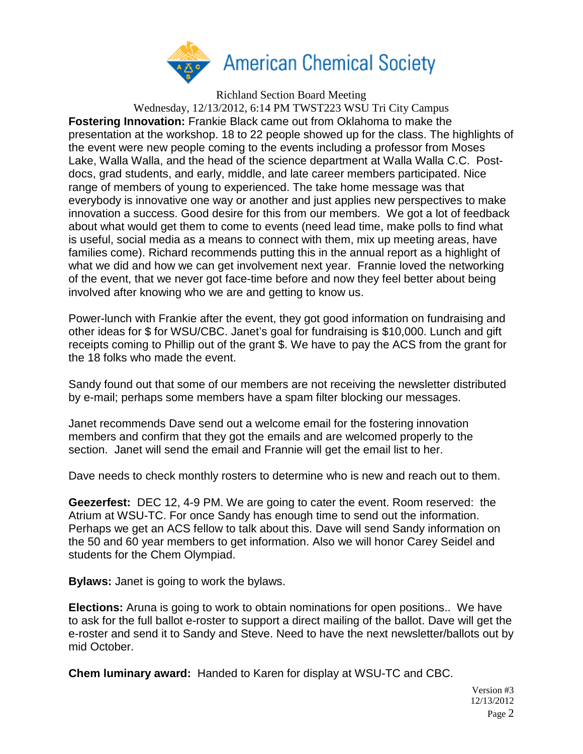

Richland Section Board Meeting Wednesday, 12/13/2012, 6:14 PM TWST223 WSU Tri City Campus **Fostering Innovation:** Frankie Black came out from Oklahoma to make the presentation at the workshop. 18 to 22 people showed up for the class. The highlights of the event were new people coming to the events including a professor from Moses Lake, Walla Walla, and the head of the science department at Walla Walla C.C. Postdocs, grad students, and early, middle, and late career members participated. Nice range of members of young to experienced. The take home message was that everybody is innovative one way or another and just applies new perspectives to make innovation a success. Good desire for this from our members. We got a lot of feedback about what would get them to come to events (need lead time, make polls to find what is useful, social media as a means to connect with them, mix up meeting areas, have families come). Richard recommends putting this in the annual report as a highlight of what we did and how we can get involvement next year. Frannie loved the networking of the event, that we never got face-time before and now they feel better about being involved after knowing who we are and getting to know us.

Power-lunch with Frankie after the event, they got good information on fundraising and other ideas for \$ for WSU/CBC. Janet's goal for fundraising is \$10,000. Lunch and gift receipts coming to Phillip out of the grant \$. We have to pay the ACS from the grant for the 18 folks who made the event.

Sandy found out that some of our members are not receiving the newsletter distributed by e-mail; perhaps some members have a spam filter blocking our messages.

Janet recommends Dave send out a welcome email for the fostering innovation members and confirm that they got the emails and are welcomed properly to the section. Janet will send the email and Frannie will get the email list to her.

Dave needs to check monthly rosters to determine who is new and reach out to them.

**Geezerfest:** DEC 12, 4-9 PM. We are going to cater the event. Room reserved: the Atrium at WSU-TC. For once Sandy has enough time to send out the information. Perhaps we get an ACS fellow to talk about this. Dave will send Sandy information on the 50 and 60 year members to get information. Also we will honor Carey Seidel and students for the Chem Olympiad.

**Bylaws:** Janet is going to work the bylaws.

**Elections:** Aruna is going to work to obtain nominations for open positions.. We have to ask for the full ballot e-roster to support a direct mailing of the ballot. Dave will get the e-roster and send it to Sandy and Steve. Need to have the next newsletter/ballots out by mid October.

**Chem luminary award:** Handed to Karen for display at WSU-TC and CBC.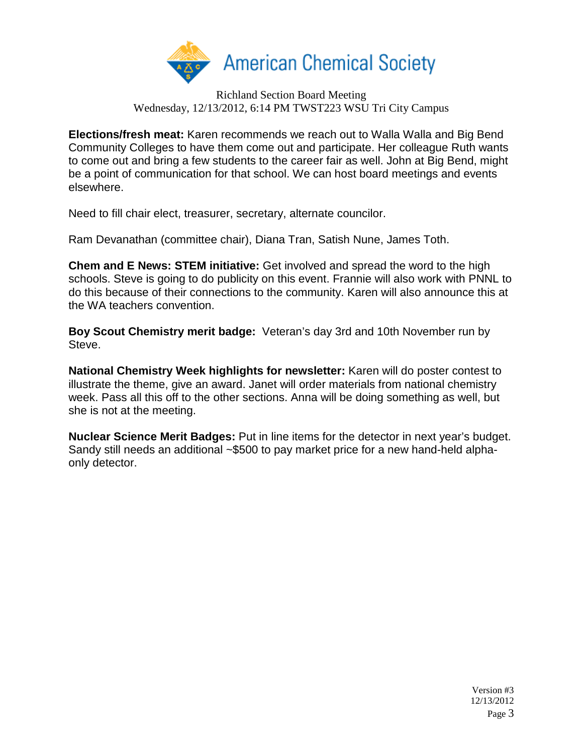

Richland Section Board Meeting Wednesday, 12/13/2012, 6:14 PM TWST223 WSU Tri City Campus

**Elections/fresh meat:** Karen recommends we reach out to Walla Walla and Big Bend Community Colleges to have them come out and participate. Her colleague Ruth wants to come out and bring a few students to the career fair as well. John at Big Bend, might be a point of communication for that school. We can host board meetings and events elsewhere.

Need to fill chair elect, treasurer, secretary, alternate councilor.

Ram Devanathan (committee chair), Diana Tran, Satish Nune, James Toth.

**Chem and E News: STEM initiative:** Get involved and spread the word to the high schools. Steve is going to do publicity on this event. Frannie will also work with PNNL to do this because of their connections to the community. Karen will also announce this at the WA teachers convention.

**Boy Scout Chemistry merit badge:** Veteran's day 3rd and 10th November run by Steve.

**National Chemistry Week highlights for newsletter:** Karen will do poster contest to illustrate the theme, give an award. Janet will order materials from national chemistry week. Pass all this off to the other sections. Anna will be doing something as well, but she is not at the meeting.

**Nuclear Science Merit Badges:** Put in line items for the detector in next year's budget. Sandy still needs an additional ~\$500 to pay market price for a new hand-held alphaonly detector.